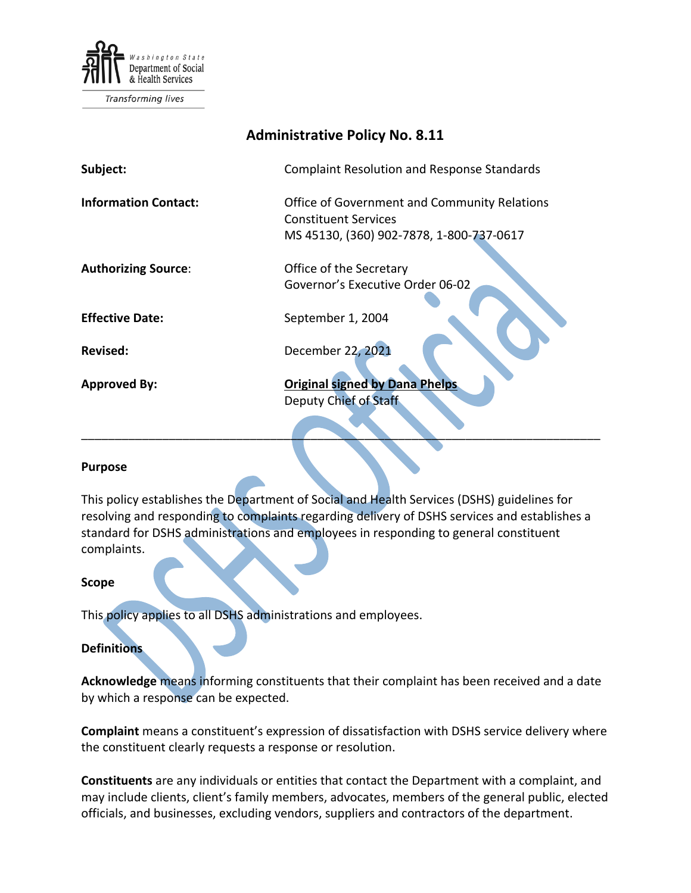

# **Administrative Policy No. 8.11**

| Subject:                    | <b>Complaint Resolution and Response Standards</b>                                                                      |
|-----------------------------|-------------------------------------------------------------------------------------------------------------------------|
| <b>Information Contact:</b> | Office of Government and Community Relations<br><b>Constituent Services</b><br>MS 45130, (360) 902-7878, 1-800-737-0617 |
| <b>Authorizing Source:</b>  | Office of the Secretary<br>Governor's Executive Order 06-02                                                             |
| <b>Effective Date:</b>      | September 1, 2004                                                                                                       |
| Revised:                    | December 22, 2021                                                                                                       |
| <b>Approved By:</b>         | <b>Original signed by Dana Phelps</b><br><b>Deputy Chief of Staff</b>                                                   |

#### **Purpose**

This policy establishes the Department of Social and Health Services (DSHS) guidelines for resolving and responding to complaints regarding delivery of DSHS services and establishes a standard for DSHS administrations and employees in responding to general constituent complaints.

\_\_\_\_\_\_\_\_\_\_\_\_\_\_\_\_\_\_\_\_\_\_\_\_\_\_\_\_\_\_\_\_\_\_\_\_\_\_\_\_\_\_\_\_\_\_\_\_\_\_\_\_\_\_\_\_\_\_\_\_\_\_\_\_\_\_\_\_\_\_\_\_\_\_\_\_\_

#### **Scope**

This policy applies to all DSHS administrations and employees.

#### **Definitions**

**Acknowledge** means informing constituents that their complaint has been received and a date by which a response can be expected.

**Complaint** means a constituent's expression of dissatisfaction with DSHS service delivery where the constituent clearly requests a response or resolution.

**Constituents** are any individuals or entities that contact the Department with a complaint, and may include clients, client's family members, advocates, members of the general public, elected officials, and businesses, excluding vendors, suppliers and contractors of the department.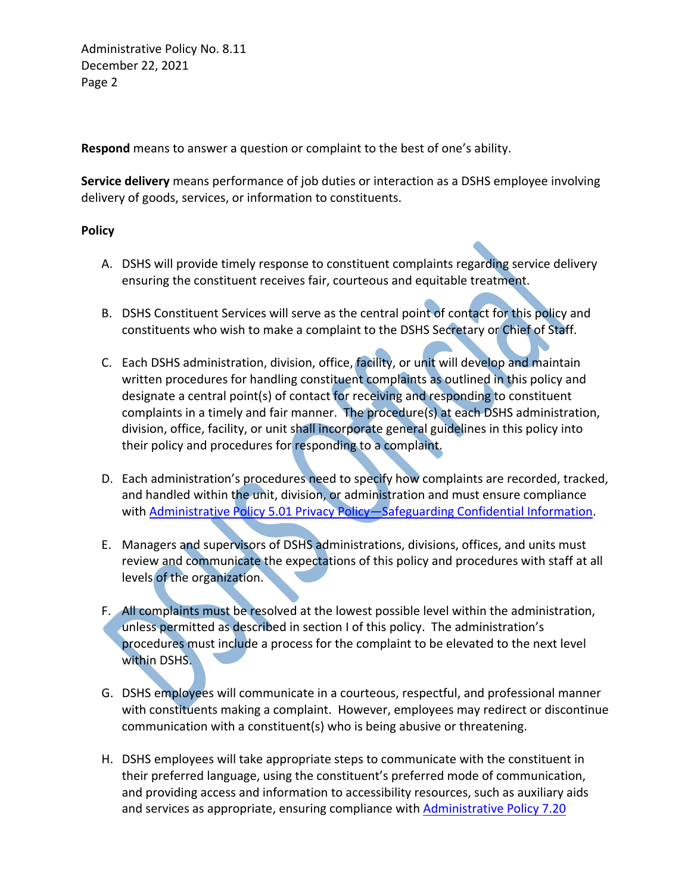Administrative Policy No. 8.11 December 22, 2021 Page 2

**Respond** means to answer a question or complaint to the best of one's ability.

**Service delivery** means performance of job duties or interaction as a DSHS employee involving delivery of goods, services, or information to constituents.

### **Policy**

- A. DSHS will provide timely response to constituent complaints regarding service delivery ensuring the constituent receives fair, courteous and equitable treatment.
- B. DSHS Constituent Services will serve as the central point of contact for this policy and constituents who wish to make a complaint to the DSHS Secretary or Chief of Staff.
- C. Each DSHS administration, division, office, facility, or unit will develop and maintain written procedures for handling constituent complaints as outlined in this policy and designate a central point(s) of contact for receiving and responding to constituent complaints in a timely and fair manner. The procedure(s) at each DSHS administration, division, office, facility, or unit shall incorporate general guidelines in this policy into their policy and procedures for responding to a complaint.
- D. Each administration's procedures need to specify how complaints are recorded, tracked, and handled within the unit, division, or administration and must ensure compliance with Administrative Policy 5.01 [Privacy Policy—Safeguarding Confidential Information.](http://one.dshs.wa.lcl/Policies/Administrative/DSHS-AP-05-01.pdf)
- E. Managers and supervisors of DSHS administrations, divisions, offices, and units must review and communicate the expectations of this policy and procedures with staff at all levels of the organization.
- F. All complaints must be resolved at the lowest possible level within the administration, unless permitted as described in section I of this policy. The administration's procedures must include a process for the complaint to be elevated to the next level within DSHS.
- G. DSHS employees will communicate in a courteous, respectful, and professional manner with constituents making a complaint. However, employees may redirect or discontinue communication with a constituent(s) who is being abusive or threatening.
- H. DSHS employees will take appropriate steps to communicate with the constituent in their preferred language, using the constituent's preferred mode of communication, and providing access and information to accessibility resources, such as auxiliary aids and services as appropriate, ensuring compliance with **Administrative Policy 7.20**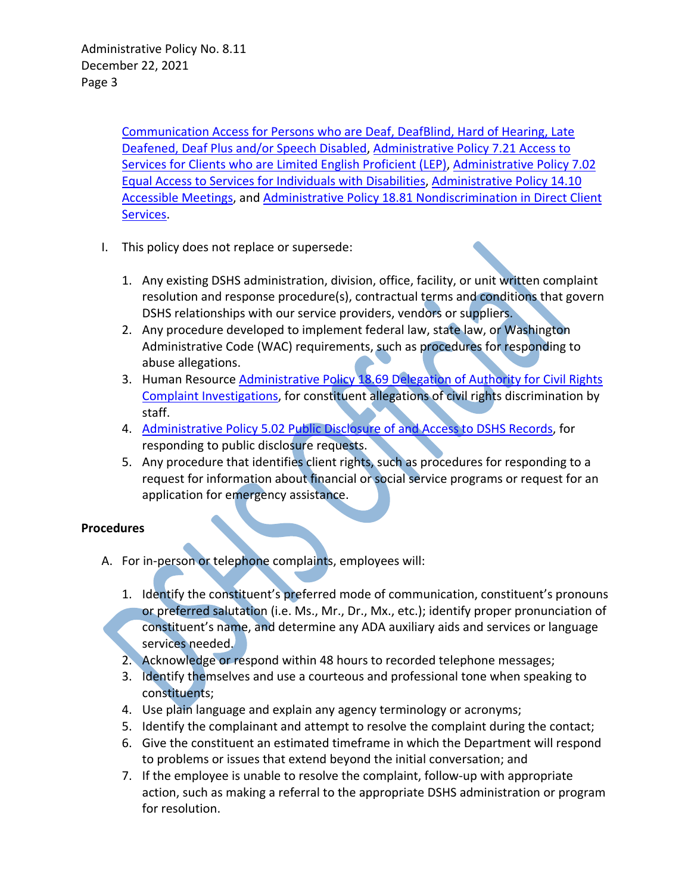[Communication Access for Persons who are Deaf, DeafBlind, Hard of Hearing, Late](http://one.dshs.wa.lcl/Policies/Administrative/DSHS-AP-07-20.pdf)  [Deafened, Deaf Plus and/or Speech Disabled,](http://one.dshs.wa.lcl/Policies/Administrative/DSHS-AP-07-20.pdf) [Administrative Policy 7.21 Access to](http://one.dshs.wa.lcl/Policies/Administrative/DSHS-AP-07-21.pdf)  [Services for Clients who are Limited English Proficient \(LEP\),](http://one.dshs.wa.lcl/Policies/Administrative/DSHS-AP-07-21.pdf) [Administrative Policy 7.02](http://one.dshs.wa.lcl/Policies/Administrative/DSHS-AP-07-02.pdf)  [Equal Access to Services for Individuals with Disabilities,](http://one.dshs.wa.lcl/Policies/Administrative/DSHS-AP-07-02.pdf) [Administrative Policy 14.10](http://one.dshs.wa.lcl/Policies/Administrative/DSHS-AP-14-10.pdf)  [Accessible Meetings,](http://one.dshs.wa.lcl/Policies/Administrative/DSHS-AP-14-10.pdf) and [Administrative Policy 18.81 Nondiscrimination in Direct Client](http://one.dshs.wa.lcl/Policies/Administrative/DSHS-AP-18-81.pdf)  [Services.](http://one.dshs.wa.lcl/Policies/Administrative/DSHS-AP-18-81.pdf)

- I. This policy does not replace or supersede:
	- 1. Any existing DSHS administration, division, office, facility, or unit written complaint resolution and response procedure(s), contractual terms and conditions that govern DSHS relationships with our service providers, vendors or suppliers.
	- 2. Any procedure developed to implement federal law, state law, or Washington Administrative Code (WAC) requirements, such as procedures for responding to abuse allegations.
	- 3. Human Resource Administrative Policy 18.69 Delegation of Authority for Civil Rights [Complaint Investigations,](http://one.dshs.wa.lcl/Policies/Administrative/DSHS-AP-18-69.pdf) for constituent allegations of civil rights discrimination by staff.
	- 4. Administrative Policy 5.02 [Public Disclosure of and Access to DSHS Records,](http://one.dshs.wa.lcl/Policies/Administrative/DSHS-AP-05-02.pdf) for responding to public disclosure requests.
	- 5. Any procedure that identifies client rights, such as procedures for responding to a request for information about financial or social service programs or request for an application for emergency assistance.

## **Procedures**

- A. For in-person or telephone complaints, employees will:
	- 1. Identify the constituent's preferred mode of communication, constituent's pronouns or preferred salutation (i.e. Ms., Mr., Dr., Mx., etc.); identify proper pronunciation of constituent's name, and determine any ADA auxiliary aids and services or language services needed.
	- 2. Acknowledge or respond within 48 hours to recorded telephone messages;
	- 3. Identify themselves and use a courteous and professional tone when speaking to constituents;
	- 4. Use plain language and explain any agency terminology or acronyms;
	- 5. Identify the complainant and attempt to resolve the complaint during the contact;
	- 6. Give the constituent an estimated timeframe in which the Department will respond to problems or issues that extend beyond the initial conversation; and
	- 7. If the employee is unable to resolve the complaint, follow-up with appropriate action, such as making a referral to the appropriate DSHS administration or program for resolution.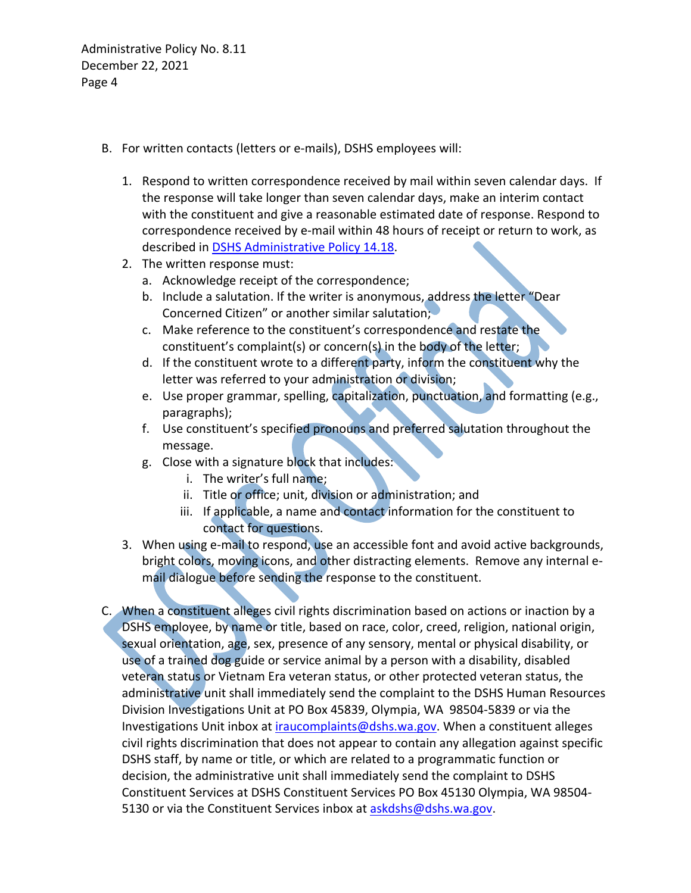Administrative Policy No. 8.11 December 22, 2021 Page 4

- B. For written contacts (letters or e-mails), DSHS employees will:
	- 1. Respond to written correspondence received by mail within seven calendar days. If the response will take longer than seven calendar days, make an interim contact with the constituent and give a reasonable estimated date of response. Respond to correspondence received by e-mail within 48 hours of receipt or return to work, as described in [DSHS Administrative Policy 14.18.](http://one.dshs.wa.lcl/Policies/Administrative/DSHS-AP-14-18.pdf)
	- 2. The written response must:
		- a. Acknowledge receipt of the correspondence;
		- b. Include a salutation. If the writer is anonymous, address the letter "Dear Concerned Citizen" or another similar salutation;
		- c. Make reference to the constituent's correspondence and restate the constituent's complaint(s) or concern(s) in the body of the letter;
		- d. If the constituent wrote to a different party, inform the constituent why the letter was referred to your administration or division;
		- e. Use proper grammar, spelling, capitalization, punctuation, and formatting (e.g., paragraphs);
		- f. Use constituent's specified pronouns and preferred salutation throughout the message.
		- g. Close with a signature block that includes:
			- i. The writer's full name;
			- ii. Title or office; unit, division or administration; and
			- iii. If applicable, a name and contact information for the constituent to contact for questions.
	- 3. When using e-mail to respond, use an accessible font and avoid active backgrounds, bright colors, moving icons, and other distracting elements. Remove any internal email dialogue before sending the response to the constituent.
- C. When a constituent alleges civil rights discrimination based on actions or inaction by a DSHS employee, by name or title, based on race, color, creed, religion, national origin, sexual orientation, age, sex, presence of any sensory, mental or physical disability, or use of a trained dog guide or service animal by a person with a disability, disabled veteran status or Vietnam Era veteran status, or other protected veteran status, the administrative unit shall immediately send the complaint to the DSHS Human Resources Division Investigations Unit at PO Box 45839, Olympia, WA 98504-5839 or via the Investigations Unit inbox at *iraucomplaints@dshs.wa.gov*. When a constituent alleges civil rights discrimination that does not appear to contain any allegation against specific DSHS staff, by name or title, or which are related to a programmatic function or decision, the administrative unit shall immediately send the complaint to DSHS Constituent Services at DSHS Constituent Services PO Box 45130 Olympia, WA 98504 5130 or via the Constituent Services inbox at [askdshs@dshs.wa.gov.](mailto:askdshs@dshs.wa.gov)